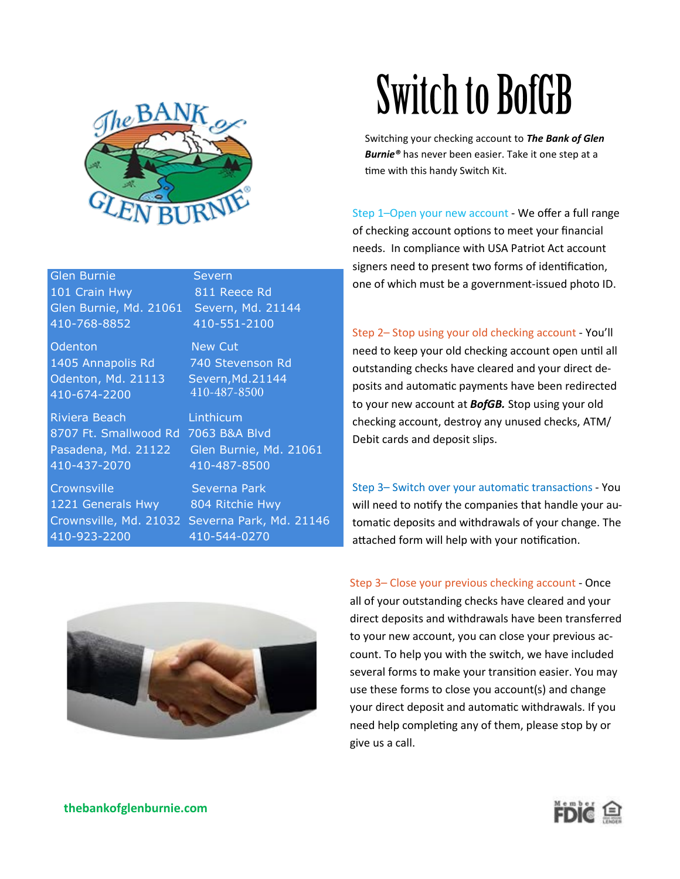

### Glen Burnie Severn

101 Crain Hwy 811 Reece Rd Glen Burnie, Md. 21061 Severn, Md. 21144 410-768-8852 410-551-2100

Odenton New Cut 1405 Annapolis Rd 740 Stevenson Rd Odenton, Md. 21113 410-674-2200

Riviera Beach Linthicum 8707 Ft. Smallwood Rd 7063 B&A Blvd Pasadena, Md. 21122 Glen Burnie, Md. 21061 410-437-2070 410-487-8500

Crownsville Severna Park 1221 Generals Hwy 804 Ritchie Hwy 410-923-2200 410-544-0270

410-487-8500

Severn,Md.21144

Crownsville, Md. 21032 Severna Park, Md. 21146



# **Switch to BofGB**

Switching your checking account to *The Bank of Glen Burnie®* has never been easier. Take it one step at a time with this handy Switch Kit.

Step 1–Open your new account - We offer a full range of checking account options to meet your financial needs. In compliance with USA Patriot Act account signers need to present two forms of identification, one of which must be a government-issued photo ID.

Step 2– Stop using your old checking account - You'll need to keep your old checking account open until all outstanding checks have cleared and your direct deposits and automatic payments have been redirected to your new account at *BofGB.* Stop using your old checking account, destroy any unused checks, ATM/ Debit cards and deposit slips.

Step 3– Switch over your automatic transactions - You will need to notify the companies that handle your automatic deposits and withdrawals of your change. The attached form will help with your notification.

Step 3– Close your previous checking account - Once all of your outstanding checks have cleared and your direct deposits and withdrawals have been transferred to your new account, you can close your previous account. To help you with the switch, we have included several forms to make your transition easier. You may use these forms to close you account(s) and change your direct deposit and automatic withdrawals. If you need help completing any of them, please stop by or give us a call.



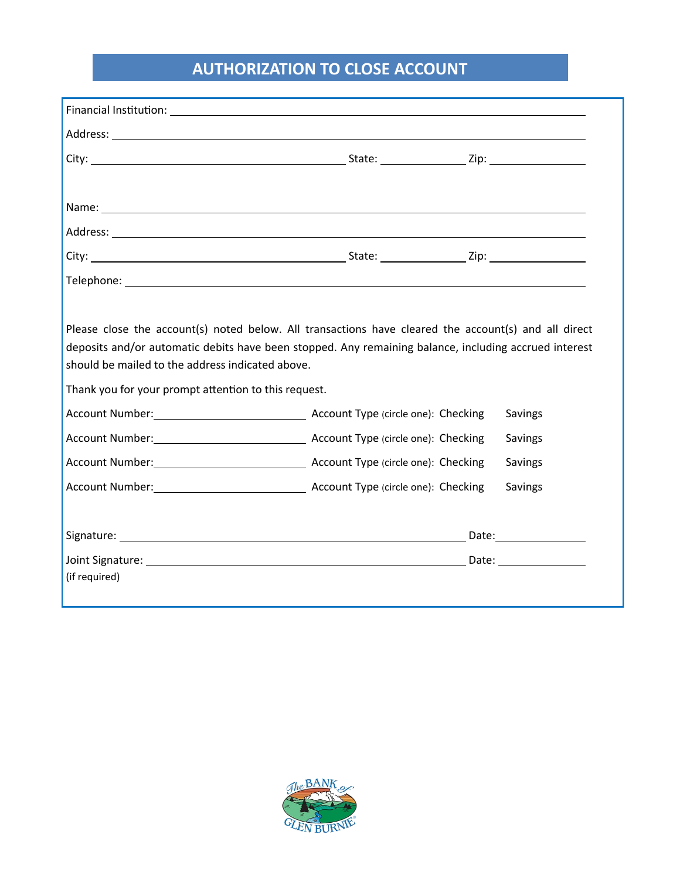## **AUTHORIZATION TO CLOSE ACCOUNT**

|                                                                                                          | Financial Institution: University of the Community of the Community of the Community of the Community of the Community of the Community of the Community of the Community of the Community of the Community of the Community o |                    |
|----------------------------------------------------------------------------------------------------------|--------------------------------------------------------------------------------------------------------------------------------------------------------------------------------------------------------------------------------|--------------------|
|                                                                                                          |                                                                                                                                                                                                                                |                    |
|                                                                                                          |                                                                                                                                                                                                                                |                    |
|                                                                                                          |                                                                                                                                                                                                                                |                    |
|                                                                                                          |                                                                                                                                                                                                                                |                    |
|                                                                                                          |                                                                                                                                                                                                                                |                    |
|                                                                                                          |                                                                                                                                                                                                                                |                    |
|                                                                                                          | Please close the account(s) noted below. All transactions have cleared the account(s) and all direct<br>deposits and/or automatic debits have been stopped. Any remaining balance, including accrued interest                  |                    |
| should be mailed to the address indicated above.<br>Thank you for your prompt attention to this request. |                                                                                                                                                                                                                                |                    |
|                                                                                                          | Account Number: Manual Account Type (circle one): Checking                                                                                                                                                                     | Savings<br>Savings |
|                                                                                                          |                                                                                                                                                                                                                                | Savings            |
|                                                                                                          |                                                                                                                                                                                                                                | Savings            |
|                                                                                                          |                                                                                                                                                                                                                                |                    |
|                                                                                                          |                                                                                                                                                                                                                                |                    |

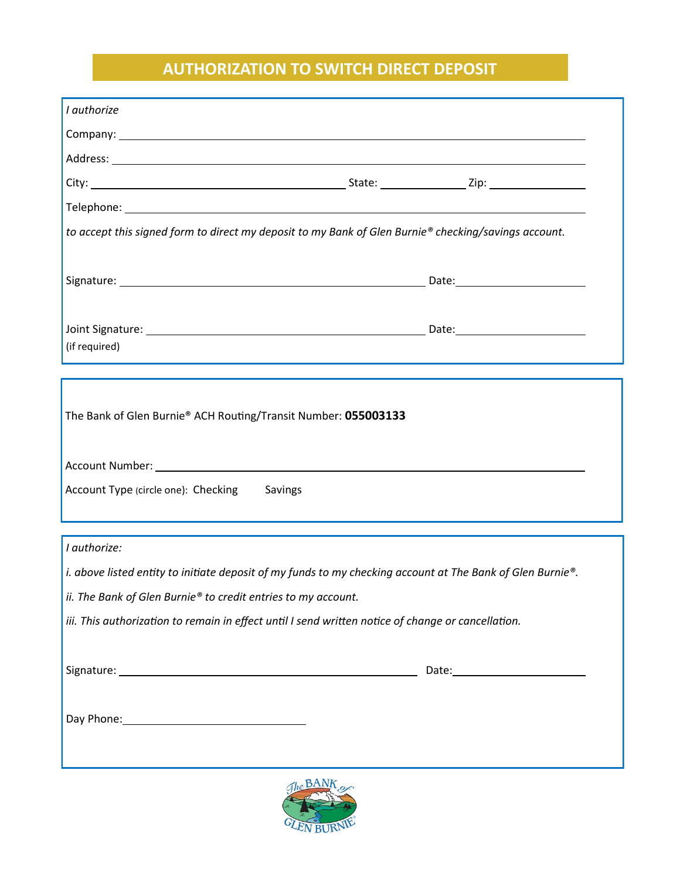## **AUTHORIZATION TO SWITCH DIRECT DEPOSIT**

| I authorize                                                                                                    |                                                                                                            |
|----------------------------------------------------------------------------------------------------------------|------------------------------------------------------------------------------------------------------------|
|                                                                                                                |                                                                                                            |
|                                                                                                                |                                                                                                            |
|                                                                                                                |                                                                                                            |
|                                                                                                                |                                                                                                            |
| to accept this signed form to direct my deposit to my Bank of Glen Burnie® checking/savings account.           |                                                                                                            |
|                                                                                                                |                                                                                                            |
|                                                                                                                |                                                                                                            |
|                                                                                                                |                                                                                                            |
|                                                                                                                |                                                                                                            |
| (if required)                                                                                                  | <u> 1989 - Johann Stoff, amerikansk politiker (d. 1989)</u>                                                |
|                                                                                                                |                                                                                                            |
| The Bank of Glen Burnie® ACH Routing/Transit Number: 055003133                                                 |                                                                                                            |
|                                                                                                                |                                                                                                            |
| Account Number: National Commission of the Commission of the Commission of the Commission of the Commission of |                                                                                                            |
| Account Type (circle one): Checking<br>Savings                                                                 |                                                                                                            |
|                                                                                                                |                                                                                                            |
|                                                                                                                |                                                                                                            |
| I authorize:                                                                                                   |                                                                                                            |
|                                                                                                                | i. above listed entity to initiate deposit of my funds to my checking account at The Bank of Glen Burnie®. |
| ii. The Bank of Glen Burnie® to credit entries to my account.                                                  |                                                                                                            |
| iii. This authorization to remain in effect until I send written notice of change or cancellation.             |                                                                                                            |
|                                                                                                                |                                                                                                            |
|                                                                                                                |                                                                                                            |
|                                                                                                                |                                                                                                            |
|                                                                                                                |                                                                                                            |
|                                                                                                                |                                                                                                            |
|                                                                                                                |                                                                                                            |